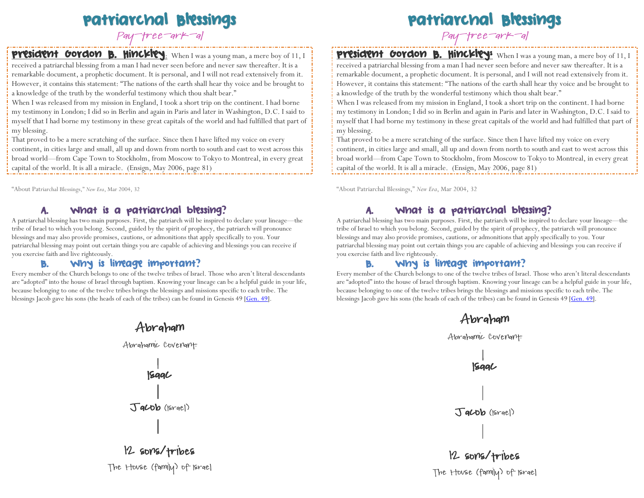# Patriarchal Blessings

Pay-tree-ark-al

# **President Gordon B. Hinckley**: When I was a young man, a mere boy of 11, I

received a patriarchal blessing from a man I had never seen before and never saw thereafter. It is a remarkable document, a prophetic document. It is personal, and I will not read extensively from it. However, it contains this statement: "The nations of the earth shall hear thy voice and be brought to a knowledge of the truth by the wonderful testimony which thou shalt bear."

When I was released from my mission in England, I took a short trip on the continent. I had borne my testimony in London; I did so in Berlin and again in Paris and later in Washington, D.C. I said to myself that I had borne my testimony in these great capitals of the world and had fulfilled that part of my blessing.

That proved to be a mere scratching of the surface. Since then I have lifted my voice on every continent, in cities large and small, all up and down from north to south and east to west across this broad world—from Cape Town to Stockholm, from Moscow to Tokyo to Montreal, in every great capital of the world. It is all a miracle. (Ensign, May 2006, page 81)

"About Patriarchal Blessings," *New Era*, Mar 2004, 32

# What is a patriarchal blessing?

A patriarchal blessing has two main purposes. First, the patriarch will be inspired to declare your lineage—the tribe of Israel to which you belong. Second, guided by the spirit of prophecy, the patriarch will pronounce blessings and may also provide promises, cautions, or admonitions that apply specifically to you. Your patriarchal blessing may point out certain things you are capable of achieving and blessings you can receive if you exercise faith and live righteously.

# B. Why is lineage important?

Every member of the Church belongs to one of the twelve tribes of Israel. Those who aren't literal descendants are "adopted" into the house of Israel through baptism. Knowing your lineage can be a helpful guide in your life, because belonging to one of the twelve tribes brings the blessings and missions specific to each tribe. The blessings Jacob gave his sons (the heads of each of the tribes) can be found in Genesis 49  $[Gen. 49]$ .



# Patriarchal Blessings

Pay-tree-ark-al

# **President Gordon B. Hinckley:** When I was a young man, a mere boy of 11, I

received a patriarchal blessing from a man I had never seen before and never saw thereafter. It is a remarkable document, a prophetic document. It is personal, and I will not read extensively from it. However, it contains this statement: "The nations of the earth shall hear thy voice and be brought to a knowledge of the truth by the wonderful testimony which thou shalt bear."

When I was released from my mission in England, I took a short trip on the continent. I had borne my testimony in London; I did so in Berlin and again in Paris and later in Washington, D.C. I said to myself that I had borne my testimony in these great capitals of the world and had fulfilled that part of my blessing.

That proved to be a mere scratching of the surface. Since then I have lifted my voice on every continent, in cities large and small, all up and down from north to south and east to west across this broad world—from Cape Town to Stockholm, from Moscow to Tokyo to Montreal, in every great capital of the world. It is all a miracle. (Ensign, May 2006, page 81)

"About Patriarchal Blessings," *New Era*, Mar 2004, 32

# A. What is a patriarchal blessing?

A patriarchal blessing has two main purposes. First, the patriarch will be inspired to declare your lineage—the tribe of Israel to which you belong. Second, guided by the spirit of prophecy, the patriarch will pronounce blessings and may also provide promises, cautions, or admonitions that apply specifically to you. Your patriarchal blessing may point out certain things you are capable of achieving and blessings you can receive if you exercise faith and live righteously.

# B. Why is lineage important?

Every member of the Church belongs to one of the twelve tribes of Israel. Those who aren't literal descendants are "adopted" into the house of Israel through baptism. Knowing your lineage can be a helpful guide in your life, because belonging to one of the twelve tribes brings the blessings and missions specific to each tribe. The blessings Jacob gave his sons (the heads of each of the tribes) can be found in Genesis  $49$  [Gen.  $49$ ].



The House (family) of Israel